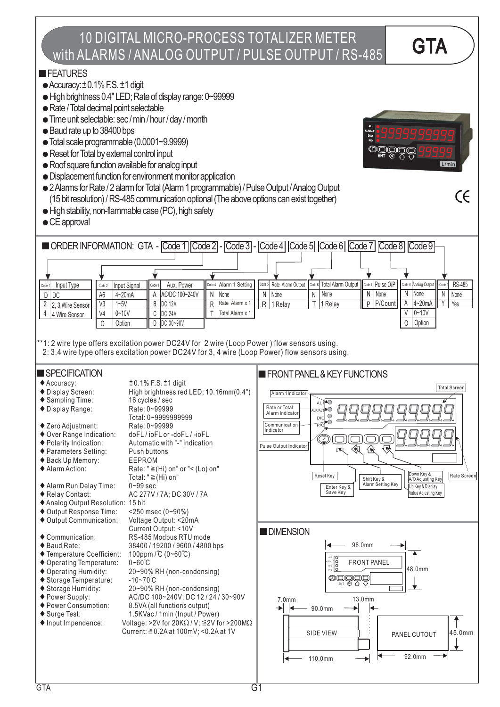## 10 DIGITAL MICRO-PROCESS TOTALIZER METER TO DIGITAL MICRO-PROCESS TOTALIZER METER<br>with ALARMS / ANALOG OUTPUT / PULSE OUTPUT / RS-485

#### **FEATURES**

- $\bullet$  Accuracy:  $\pm$  0.1% F.S.  $\pm$ 1 digit
- High brightness 0.4" LED; Rate of display range: 0~99999
- Rate / Total decimal point selectable
- Time unit selectable: sec / min / hour / day / month
- Baud rate up to 38400 bps
- Total scale programmable (0.0001~9.9999)
- Reset for Total by external control input
- Roof square function available for analog input
- Displacement function for environment monitor application
- 2Alarms for Rate / 2 alarm forTotal (Alarm 1 programmable) / Pulse Output /Analog Output (15 bit resolution) / RS-485 communication optional (The above options can exist together)
- High stability, non-flammable case (PC), high safety
- CE approval



**OOOOO** 

 $L/min$ 

CE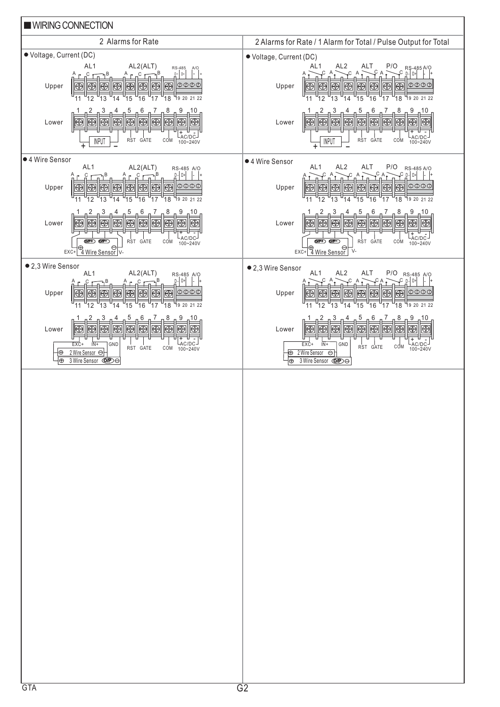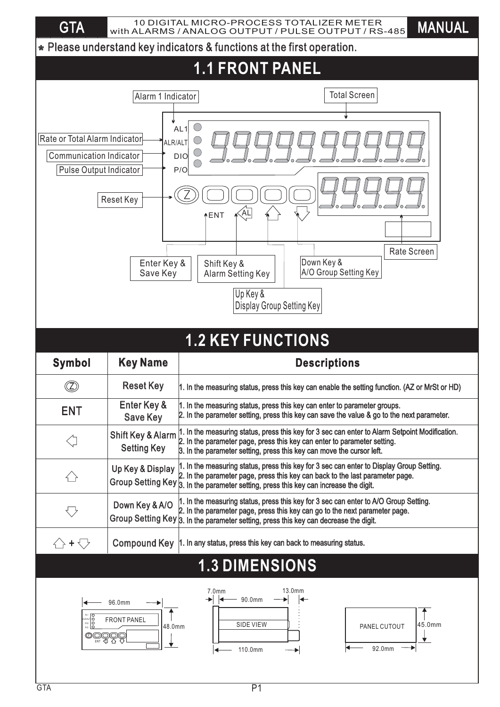GTA WITH ALARMS / ANALOG OUTPUT / PULSE OUTPUT / RS-485 MANUAL 10 DIGITAL MICRO-PROCESS TOTALIZER METER

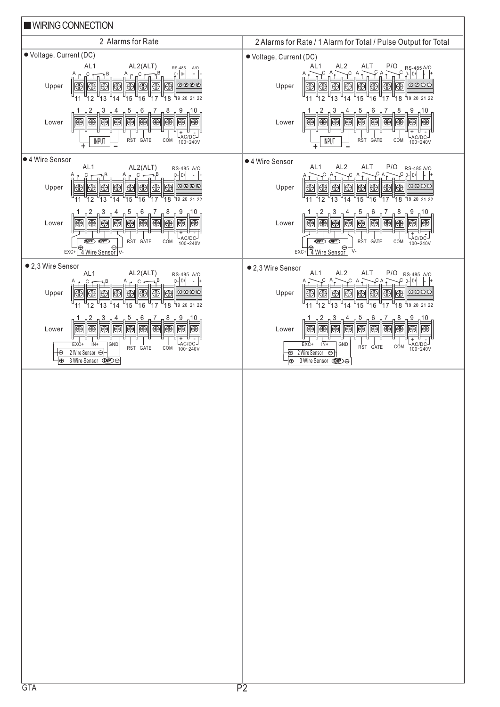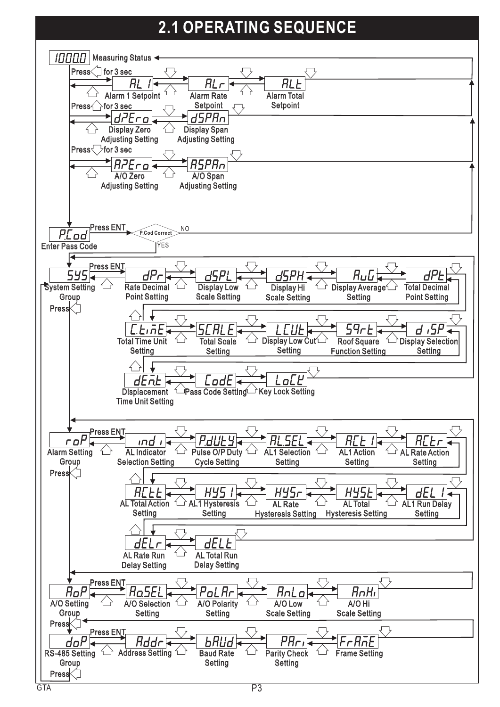# **2.1 OPERATING SEQUENCE**

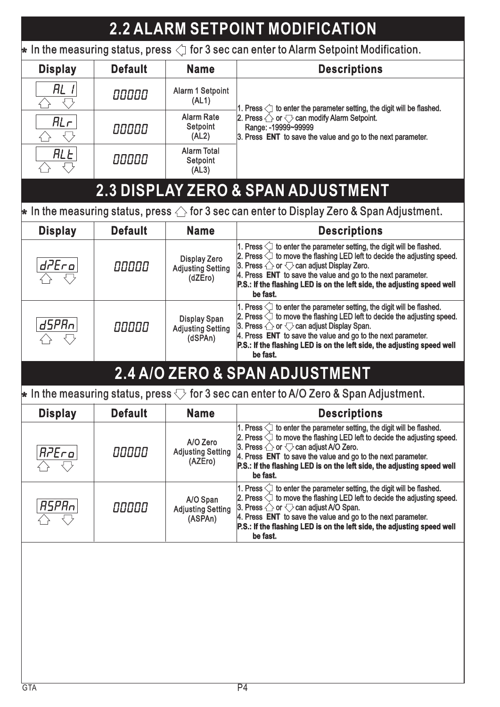| <b>2.2 ALARM SETPOINT MODIFICATION</b>                                                                                         |                |                                                            |                                                                                                                                                                                                                                                                                                                                                                                         |  |  |  |
|--------------------------------------------------------------------------------------------------------------------------------|----------------|------------------------------------------------------------|-----------------------------------------------------------------------------------------------------------------------------------------------------------------------------------------------------------------------------------------------------------------------------------------------------------------------------------------------------------------------------------------|--|--|--|
| $\,\blacktriangleright\,$ In the measuring status, press $\triangleleft\,$ for 3 sec can enter to Alarm Setpoint Modification. |                |                                                            |                                                                                                                                                                                                                                                                                                                                                                                         |  |  |  |
| <b>Display</b>                                                                                                                 | <b>Default</b> | <b>Name</b>                                                | <b>Descriptions</b>                                                                                                                                                                                                                                                                                                                                                                     |  |  |  |
| RL I                                                                                                                           | 00000          | Alarm 1 Setpoint<br>(AL1)                                  | 1. Press $\leq$ to enter the parameter setting, the digit will be flashed.                                                                                                                                                                                                                                                                                                              |  |  |  |
| RLr                                                                                                                            | 00000          | <b>Alarm Rate</b><br>Setpoint<br>(AL2)                     | 2. Press $\triangle$ or $\bigtriangledown$ can modify Alarm Setpoint.<br>Range: - 19999~99999<br>3. Press ENT to save the value and go to the next parameter.                                                                                                                                                                                                                           |  |  |  |
| <b>ALL</b>                                                                                                                     | 00000          | <b>Alarm Total</b><br>Setpoint<br>(AL3)                    |                                                                                                                                                                                                                                                                                                                                                                                         |  |  |  |
|                                                                                                                                |                |                                                            | <b>2.3 DISPLAY ZERO &amp; SPAN ADJUSTMENT</b>                                                                                                                                                                                                                                                                                                                                           |  |  |  |
|                                                                                                                                |                |                                                            | $\,\blacktriangleright\,$ In the measuring status, press $\triangle$ for 3 sec can enter to Display Zero & Span Adjustment.                                                                                                                                                                                                                                                             |  |  |  |
| <b>Display</b>                                                                                                                 | <b>Default</b> | <b>Name</b>                                                | <b>Descriptions</b>                                                                                                                                                                                                                                                                                                                                                                     |  |  |  |
| d7Ero                                                                                                                          | 00000          | <b>Display Zero</b><br><b>Adjusting Setting</b><br>(dZEro) | 1. Press $\bigcirc$ to enter the parameter setting, the digit will be flashed.<br>2. Press $\Diamond$ to move the flashing LED left to decide the adjusting speed.<br>3. Press $\bigcirc$ or $\bigcirc$ can adjust Display Zero.<br>4. Press ENT to save the value and go to the next parameter.<br>P.S.: If the flashing LED is on the left side, the adjusting speed well<br>be fast. |  |  |  |
| d5PRn1                                                                                                                         | 00000          | <b>Display Span</b><br><b>Adjusting Setting</b><br>(dSPAn) | 1. Press $\Diamond$ to enter the parameter setting, the digit will be flashed.<br>2. Press $\Diamond$ to move the flashing LED left to decide the adjusting speed.<br>3. Press $\bigcirc$ or $\bigcirc$ can adjust Display Span.<br>4. Press ENT to save the value and go to the next parameter.<br>P.S.: If the flashing LED is on the left side, the adjusting speed well<br>be fast. |  |  |  |
|                                                                                                                                |                |                                                            | 2.4 A/O ZERO & SPAN ADJUSTMENT                                                                                                                                                                                                                                                                                                                                                          |  |  |  |
|                                                                                                                                |                |                                                            | $\,\blacktriangleright\,$ In the measuring status, press $\bigtriangledown$ for 3 sec can enter to A/O Zero & Span Adjustment.                                                                                                                                                                                                                                                          |  |  |  |
| <b>Display</b>                                                                                                                 | <b>Default</b> | <b>Name</b>                                                | <b>Descriptions</b>                                                                                                                                                                                                                                                                                                                                                                     |  |  |  |
| R7Ero                                                                                                                          | 00000          | A/O Zero<br><b>Adjusting Setting</b><br>(AZEro)            | 1. Press $\bigcirc$ to enter the parameter setting, the digit will be flashed.<br>2. Press $\Diamond$ to move the flashing LED left to decide the adjusting speed.<br>3. Press $\bigcirc$ or $\bigcirc$ can adjust A/O Zero.<br>4. Press ENT to save the value and go to the next parameter.<br>P.S.: If the flashing LED is on the left side, the adjusting speed well<br>be fast.     |  |  |  |
| <i>RSPRo</i>                                                                                                                   | 00000          | A/O Span<br><b>Adjusting Setting</b><br>(ASPAn)            | 1. Press $\bigcirc$ to enter the parameter setting, the digit will be flashed.<br>2. Press $\Diamond$ to move the flashing LED left to decide the adjusting speed.<br>3. Press $\bigcirc$ or $\bigcirc$ can adjust A/O Span.<br>4. Press ENT to save the value and go to the next parameter.<br>P.S.: If the flashing LED is on the left side, the adjusting speed well<br>be fast.     |  |  |  |
|                                                                                                                                |                |                                                            |                                                                                                                                                                                                                                                                                                                                                                                         |  |  |  |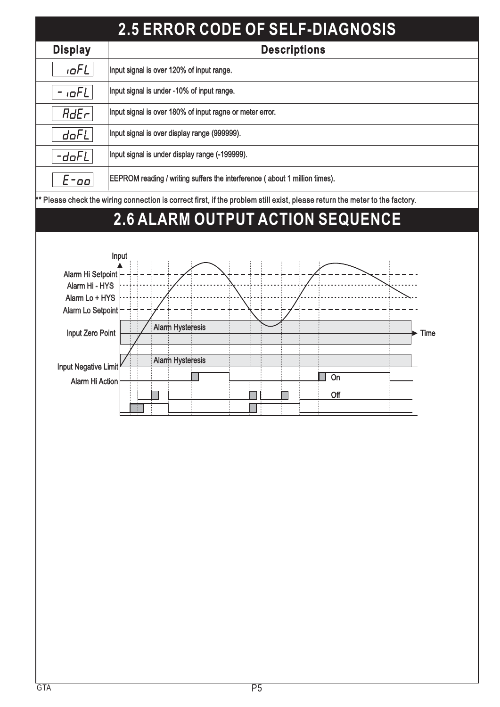| <b>2.5 ERROR CODE OF SELF-DIAGNOSIS</b>                                                                                     |                                                          |  |  |  |  |
|-----------------------------------------------------------------------------------------------------------------------------|----------------------------------------------------------|--|--|--|--|
| <b>Display</b>                                                                                                              | <b>Descriptions</b>                                      |  |  |  |  |
| $I$ o $FL$                                                                                                                  | Input signal is over 120% of input range.                |  |  |  |  |
| $ \sigma$ FL                                                                                                                | Input signal is under -10% of input range.               |  |  |  |  |
| $HdE\neg$                                                                                                                   | Input signal is over 180% of input ragne or meter error. |  |  |  |  |
| doFL                                                                                                                        | Input signal is over display range (999999).             |  |  |  |  |
| -doFL                                                                                                                       | Input signal is under display range (-199999).           |  |  |  |  |
| <b>EEPROM reading / writing suffers the interference (about 1 million times).</b><br>$E$ -oo                                |                                                          |  |  |  |  |
| ** Please check the wiring connection is correct first, if the problem still exist, please return the meter to the factory. |                                                          |  |  |  |  |

## **2.6 ALARM OUTPUT ACTION SEQUENCE**

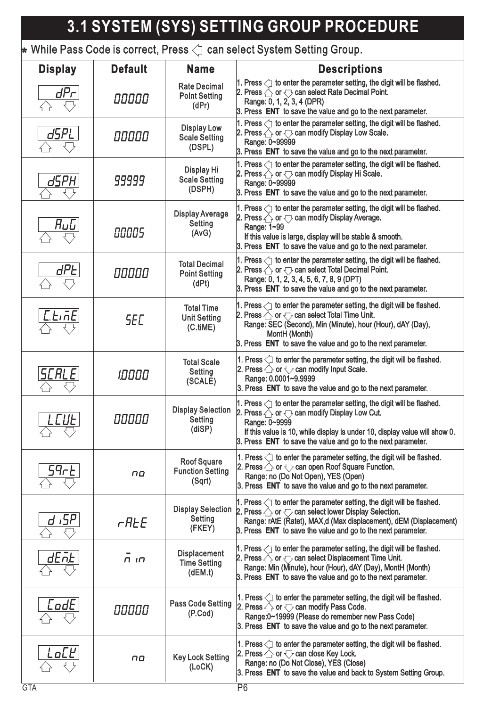# **3.1 SYSTEM (SYS) SETTING GROUP PROCEDURE**

 $\bigstar$  While Pass Code is correct, Press  $\triangleleft$  can select System Setting Group.

| <b>Display</b>       | <b>Default</b>   | <b>Name</b>                                             | <b>Descriptions</b>                                                                                                                                                                                                                                                                                                   |  |
|----------------------|------------------|---------------------------------------------------------|-----------------------------------------------------------------------------------------------------------------------------------------------------------------------------------------------------------------------------------------------------------------------------------------------------------------------|--|
| dPr                  | 00000            | <b>Rate Decimal</b><br><b>Point Setting</b><br>(dPr)    | 1. Press $\langle \cdot \rangle$ to enter the parameter setting, the digit will be flashed.<br>2. Press $\triangle$ or $\bigtriangledown$ can select Rate Decimal Point.<br>Range: 0, 1, 2, 3, 4 (DPR)<br>3. Press ENT to save the value and go to the next parameter.                                                |  |
| dSPL                 | 00000            | <b>Display Low</b><br><b>Scale Setting</b><br>(DSPL)    | 1. Press $\leq$ to enter the parameter setting, the digit will be flashed.<br>2. Press $\triangle$ or $\bigtriangledown$ can modify Display Low Scale.<br>Range: 0~99999<br>3. Press ENT to save the value and go to the next parameter.                                                                              |  |
| dSPH                 | 99999            | Display Hi<br><b>Scale Setting</b><br>(DSPH)            | 1. Press $\leq$ to enter the parameter setting, the digit will be flashed.<br>2. Press $\triangle$ or $\bigtriangledown$ can modify Display Hi Scale.<br>Range: 0~99999<br>3. Press ENT to save the value and go to the next parameter.                                                                               |  |
| Ռսն                  | 00005            | <b>Display Average</b><br><b>Setting</b><br>(AvG)       | 1. Press $\angle$ to enter the parameter setting, the digit will be flashed.<br>2. Press $\bigtriangleup$ or $\bigtriangledown$ can modify Display Average.<br>Range: 1~99<br>If this value is large, display will be stable & smooth.<br>3. Press ENT to save the value and go to the next parameter.                |  |
| dPE                  | 00000            | <b>Total Decimal</b><br><b>Point Setting</b><br>(dPt)   | 1. Press $\triangleleft$ to enter the parameter setting, the digit will be flashed.<br>2. Press $\triangle$ or $\bigtriangledown$ can select Total Decimal Point.<br>Range: 0, 1, 2, 3, 4, 5, 6, 7, 8, 9 (DPT)<br>3. Press ENT to save the value and go to the next parameter.                                        |  |
| <i><b>L.</b>E.RE</i> | <b>SEC</b>       | <b>Total Time</b><br><b>Unit Setting</b><br>(C.title)   | 1. Press $\leq$ to enter the parameter setting, the digit will be flashed.<br>2. Press $\triangle$ or $\bigtriangledown$ can select Total Time Unit.<br>Range: SEC (Šecond), Min (Minute), hour (Hour), dAY (Day),<br>MontH (Month)<br>3. Press ENT to save the value and go to the next parameter.                   |  |
| SCRLE                | םססטו            | <b>Total Scale</b><br>Setting<br>(SCALE)                | 1. Press $\bigcirc$ to enter the parameter setting, the digit will be flashed.<br>2. Press $\triangle$ or $\bigtriangledown$ can modify Input Scale.<br>Range: 0.0001~9.9999<br>3. Press ENT to save the value and go to the next parameter.                                                                          |  |
| <i>LCUE</i>          | 00000            | <b>Display Selection</b><br>Setting<br>(diSP)           | 1. Press $\angle$ to enter the parameter setting, the digit will be flashed.<br>2. Press $\triangle$ or $\bigtriangledown$ can modify Display Low Cut.<br>Range: 0~9999<br>If this value is 10, while display is under 10, display value will show 0.<br>3. Press ENT to save the value and go to the next parameter. |  |
| 59r E                | no               | <b>Roof Square</b><br><b>Function Setting</b><br>(Sqrt) | 1. Press $\leq$ to enter the parameter setting, the digit will be flashed.<br>2. Press $\bigtriangleup$ or $\bigtriangledown$ can open Roof Square Function.<br>Range: no (Do Not Open), YES (Open)<br>3. Press ENT to save the value and go to the next parameter.                                                   |  |
| d ,SP                | rAŁE             | <b>Display Selection</b><br>Setting<br>(FKEY)           | 1. Press $\leq$ to enter the parameter setting, the digit will be flashed.<br>2. Press $\triangle$ or $\bigtriangledown$ can select lower Display Selection.<br>Range: rAtE (Ratet), MAX,d (Max displacement), dEM (Displacement)<br>3. Press ENT to save the value and go to the next parameter.                     |  |
| dEnt                 | n <sub>1</sub> n | <b>Displacement</b><br><b>Time Setting</b><br>(dEM.t)   | 1. Press $\leq$ to enter the parameter setting, the digit will be flashed.<br>2. Press $\bigtriangleup$ or $\bigtriangledown$ can select Displacement Time Unit.<br>Range: Min (Minute), hour (Hour), dAY (Day), MontH (Month)<br>3. Press ENT to save the value and go to the next parameter.                        |  |
| CodE                 | 00000            | <b>Pass Code Setting</b><br>(P.Cod)                     | 1. Press $\leq$ to enter the parameter setting, the digit will be flashed.<br>2. Press $\triangle$ or $\bigtriangledown$ can modify Pass Code.<br>Range: 0~19999 (Please do remember new Pass Code)<br>3. Press ENT to save the value and go to the next parameter.                                                   |  |
| o[K                  | no               | <b>Key Lock Setting</b><br>(LoCK)                       | 1. Press $\bigcirc$ to enter the parameter setting, the digit will be flashed.<br>2. Press $\bigcirc$ or $\bigcirc$ can close Key Lock.<br>Range: no (Do Not Close), YES (Close)<br>3. Press ENT to save the value and back to System Setting Group.                                                                  |  |
| <b>GTA</b>           |                  |                                                         | P6                                                                                                                                                                                                                                                                                                                    |  |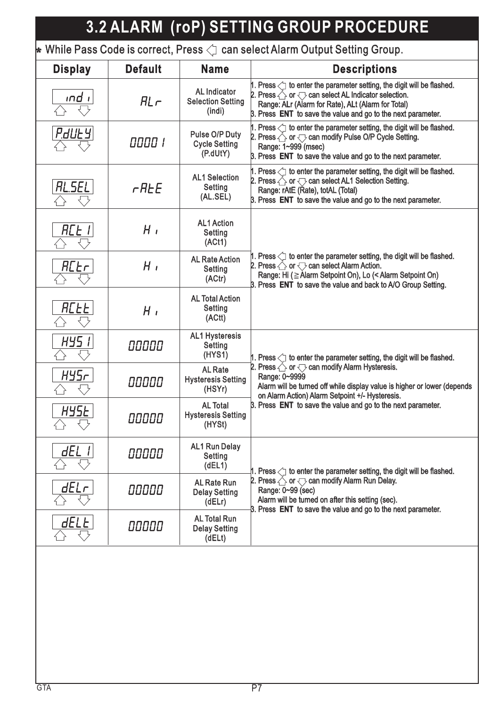| <b>3.2 ALARM (roP) SETTING GROUP PROCEDURE</b>                                                                       |                |                                                           |                                                                                                                                                                                                                                                                                   |  |  |  |
|----------------------------------------------------------------------------------------------------------------------|----------------|-----------------------------------------------------------|-----------------------------------------------------------------------------------------------------------------------------------------------------------------------------------------------------------------------------------------------------------------------------------|--|--|--|
| $\,\blacktriangleright\,$ While Pass Code is correct, Press $\triangleleft\,$ can select Alarm Output Setting Group. |                |                                                           |                                                                                                                                                                                                                                                                                   |  |  |  |
| <b>Display</b>                                                                                                       | <b>Default</b> | <b>Name</b>                                               | <b>Descriptions</b>                                                                                                                                                                                                                                                               |  |  |  |
| ind i                                                                                                                | $HL \cap$      | <b>AL Indicator</b><br><b>Selection Setting</b><br>(indi) | 1. Press $\leq$ to enter the parameter setting, the digit will be flashed.<br>2. Press $\triangle$ or $\bigtriangledown$ can select AL Indicator selection.<br>Range: ALr (Alarm for Rate), ALt (Alarm for Total)<br>3. Press ENT to save the value and go to the next parameter. |  |  |  |
| <b>P.duley</b>                                                                                                       | 0000 1         | Pulse O/P Duty<br><b>Cycle Setting</b><br>(P.dUtY)        | 1. Press $\triangleleft$ to enter the parameter setting, the digit will be flashed.<br>2. Press $\triangle$ or $\bigtriangledown$ can modify Pulse O/P Cycle Setting.<br>Range: 1~999 (msec)<br>3. Press ENT to save the value and go to the next parameter.                      |  |  |  |
| RL.SEL                                                                                                               | <b>r</b> ALE   | <b>AL1 Selection</b><br><b>Setting</b><br>(AL.SEL)        | 1. Press $\leq$ to enter the parameter setting, the digit will be flashed.<br>2. Press $\triangle$ or $\bigtriangledown$ can select AL1 Selection Setting.<br>Range: rAtE (Rate), totAL (Total)<br>3. Press ENT to save the value and go to the next parameter.                   |  |  |  |
| RCE I                                                                                                                | $H_{\perp}$    | <b>AL1 Action</b><br>Setting<br>(ACt1)                    |                                                                                                                                                                                                                                                                                   |  |  |  |
| <b>ACEr</b>                                                                                                          | $H_{\perp}$    | <b>AL Rate Action</b><br>Setting<br>(ACtr)                | 1. Press $\leq$ to enter the parameter setting, the digit will be flashed.<br>2. Press $\bigcirc$ or $\bigcirc$ can select Alarm Action.<br>Range: Hi (≧ Alarm Setpoint On), Lo (< Alarm Setpoint On)<br>3. Press ENT to save the value and back to A/O Group Setting.            |  |  |  |
| <b>ACEE</b>                                                                                                          | $H_{I}$        | <b>AL Total Action</b><br><b>Setting</b><br>(ACtt)        |                                                                                                                                                                                                                                                                                   |  |  |  |
| HY5 I                                                                                                                | 00000          | <b>AL1 Hysteresis</b><br>Setting<br>(HYS1)                | 1. Press $\langle \cdot \rangle$ to enter the parameter setting, the digit will be flashed.                                                                                                                                                                                       |  |  |  |
| НУ5г<br>↥                                                                                                            | 00000          | <b>AL Rate</b><br><b>Hysteresis Setting</b><br>(HSYr)     | 2. Press $\triangle$ or $\bigtriangledown$ can modify Alarm Hysteresis.<br>Range: 0~9999<br>Alarm will be turned off while display value is higher or lower (depends<br>on Alarm Action) Alarm Setpoint +/- Hysteresis.                                                           |  |  |  |
| <u>HYSE </u>                                                                                                         | 00000          | <b>AL Total</b><br><b>Hysteresis Setting</b><br>(HYSt)    | 3. Press ENT to save the value and go to the next parameter.                                                                                                                                                                                                                      |  |  |  |
| dEL                                                                                                                  | 00000          | <b>AL1 Run Delay</b><br><b>Setting</b><br>(dEL1)          | 1. Press $\leq$ to enter the parameter setting, the digit will be flashed.                                                                                                                                                                                                        |  |  |  |
| dELr                                                                                                                 | 00000          | <b>AL Rate Run</b><br><b>Delay Setting</b><br>(dE Lr)     | 2. Press $\triangle$ or $\bigtriangledown$ can modify Alarm Run Delay.<br>Range: 0~99 (sec)<br>Alarm will be turned on after this setting (sec).<br>3. Press ENT to save the value and go to the next parameter.                                                                  |  |  |  |
| dELE                                                                                                                 | 00000          | <b>AL Total Run</b><br><b>Delay Setting</b><br>(dELt)     |                                                                                                                                                                                                                                                                                   |  |  |  |
|                                                                                                                      |                |                                                           |                                                                                                                                                                                                                                                                                   |  |  |  |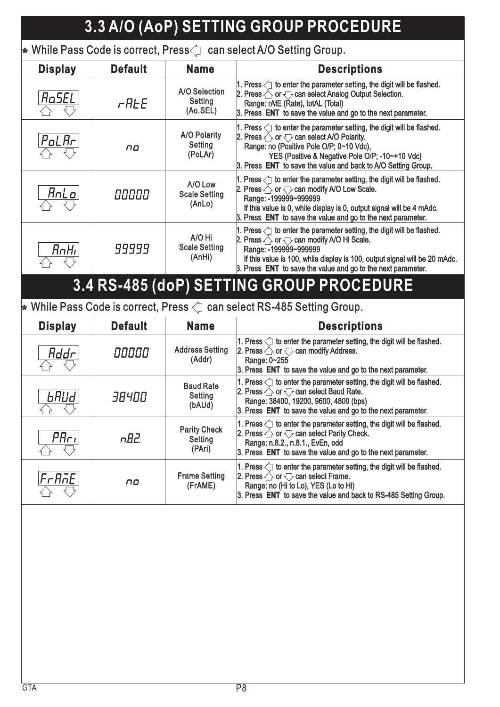#### **3.3 A/O (AoP) SETTING GROUP PROCEDURE**  $\,\blacktriangleright\,$  While Pass Code is correct, Press $\triangleleft\,$  can select A/O Setting Group. **Display Default Name Descriptions** |1. Press  $\triangleleft$ ] to enter the parameter setting, the digit will be flashed. A/O Selection A/O 2. Press  $\triangle$  or  $\bigtriangledown$  can select Analog Output Selection. **RaSEL Setting**  $r$ *REE* Range: rAtE (Rate), totAL (Total) Range: rAtE (Rate), (Ao.SEL) 3. Press ENT to save the value and go to the next parameter. 1. Press  $\bigcirc$  to enter the parameter setting, the digit will be flashed.<br>A/O Polarity 2. Press  $\bigcirc$  or  $\bigcirc$  can select A/O Polarity. A/O Polarity 2. Press  $\triangle$  or  $\bigtriangledown$  can select A/O Polarity.  $_{\rm \rho_{\rm \alpha L}$  Ar **Setting** Range: no (Positive Pole O/P; 0~10 Vdc), Range: no (Positive Pole O/P; 0~10 no (PoLAr) YES (Positive & Negative Pole O/P; -10~+10 Vdc) YES (Positive & Negative Pole O/P; -10~+10 3. Press **ENT** to save the value and back to A/O Setting Group. 1. Press  $\Diamond$  to enter the parameter setting, the digit will be flashed. A/O Low<br>
2. Press  $\leftarrow$  or  $\leftarrow$  can modify A/O Low Scale.<br>
Scale Setting<br>
(AnLo)<br>
8. Press  $\leftarrow$  or  $\leftarrow$  can modify A/O Low Scale.<br>
8. Press in this value is 0, while display is 0, output signal will be 4 mAdc.<br>
8. Pres A/O Low A/O 2. Press  $\triangle$  or  $\bigtriangledown$  can modify A/O Low Scale. <u>AnLo</u> *OOOOO* Scale Setting Scale Range: -199999~999999 Range: (AnLo) If this value is 0, while display is 0, output signal will be 4 mAdc. If this value is 0, while display is 0, output signal will be 4 3. Press **ENT** to save the value and go to the next parameter. 1. Press  $\triangleleft$  to enter the parameter setting, the digit will be flashed. A/O Hi A/O 2. Press  $\triangle$  or  $\bigtriangledown$  can modify A/O Hi Scale. Scale Setting 99999 RnHı Range: -199999~999999 Range: (AnHi) If this value is 100, while display is 100, output signal will be 20 mAdc. If this value is 100, while display is 100, output signal will be 20 3. Press **ENT** to save the value and go to the next parameter. **3.4 RS-485 (doP) SETTING GROUP PROCEDURE**  $\star$  While Pass Code is correct, Press  $\triangleleft$  can select RS-485 Setting Group.

| <b>Display</b>    | <b>Default</b> | <b>Name</b>                                     | <b>Descriptions</b>                                                                                                                                                                                                                                     |  |  |
|-------------------|----------------|-------------------------------------------------|---------------------------------------------------------------------------------------------------------------------------------------------------------------------------------------------------------------------------------------------------------|--|--|
| Rddr              | 00000          | <b>Address Setting</b><br>(Addr)                | 1. Press $\leq$ to enter the parameter setting, the digit will be flashed.<br>2. Press $\triangle$ or $\bigtriangledown$ can modify Address.<br>Range: 0~255<br>3. Press ENT to save the value and go to the next parameter.                            |  |  |
| <b>bRUd</b>       | 38400          | <b>Baud Rate</b><br>Setting<br>(bAUd)           | 1. Press $\leq$ to enter the parameter setting, the digit will be flashed.<br>2. Press $\triangle$ or $\bigtriangledown$ can select Baud Rate.<br>Range: 38400, 19200, 9600, 4800 (bps)<br>3. Press ENT to save the value and go to the next parameter. |  |  |
| $ P R_{\Gamma}$   | nB2.           | <b>Parity Check</b><br><b>Setting</b><br>(PAri) | 1. Press $\leq$ to enter the parameter setting, the digit will be flashed.<br>2. Press $\triangle$ or $\bigtriangledown$ can select Parity Check.<br>Range: n.8.2., n.8.1., EvEn, odd<br>3. Press ENT to save the value and go to the next parameter.   |  |  |
| $ F$ r $R$ n $E $ | no             | <b>Frame Setting</b><br>(FrAME)                 | 1. Press $\leq$ to enter the parameter setting, the digit will be flashed.<br>2. Press $\bigcirc$ or $\bigcirc$ can select Frame.<br>Range: no (Hi to Lo), YES (Lo to Hi)<br>3. Press ENT to save the value and back to RS-485 Setting Group.           |  |  |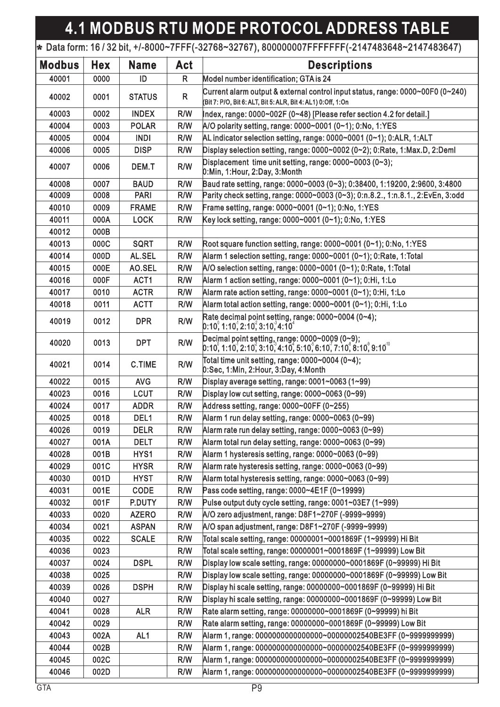## **4.1 MODBUS RTU MODE PROTOCOL ADDRESS TABLE**

### + Data form: 16 / 32 bit, +/-8000~7FFF(-32768~32767), 800000007FFFFFFF(-2147483648~2147483647)

| <b>Modbus</b> | <b>Hex</b> | <b>Name</b>     | <b>Act</b>   | <b>Descriptions</b>                                                                                                                            |  |
|---------------|------------|-----------------|--------------|------------------------------------------------------------------------------------------------------------------------------------------------|--|
| 40001         | 0000       | ID              | $\mathsf{R}$ | Model number identification; GTA is 24                                                                                                         |  |
| 40002         | 0001       | <b>STATUS</b>   | $\mathsf{R}$ | Current alarm output & external control input status, range: 0000~00F0 (0~240)<br>(Bit 7: P/O, Bit 6: ALT, Bit 5: ALR, Bit 4: AL1) 0:Off, 1:On |  |
| 40003         | 0002       | <b>INDEX</b>    | R/W          | Index, range: 0000~002F (0~48) [Please refer section 4.2 for detail.]                                                                          |  |
| 40004         | 0003       | <b>POLAR</b>    | R/W          | A/O polarity setting, range: 0000~0001 (0~1); 0:No, 1:YES                                                                                      |  |
| 40005         | 0004       | <b>INDI</b>     | R/W          | AL indicator selection setting, range: 0000~0001 (0~1); 0:ALR, 1:ALT                                                                           |  |
| 40006         | 0005       | <b>DISP</b>     | R/W          | Display selection setting, range: 0000~0002 (0~2); 0:Rate, 1:Max.D, 2:Deml                                                                     |  |
| 40007         | 0006       | DEM.T           | R/W          | Displacement time unit setting, range: $0000~0003$ (0~3);<br>0:Min, 1:Hour, 2:Day, 3:Month                                                     |  |
| 40008         | 0007       | <b>BAUD</b>     | R/W          | Baud rate setting, range: 0000~0003 (0~3); 0:38400, 1:19200, 2:9600, 3:4800                                                                    |  |
| 40009         | 0008       | <b>PARI</b>     | R/W          | Parity check setting, range: 0000~0003 (0~3); 0:n.8.2., 1:n.8.1., 2:EvEn, 3:odd                                                                |  |
| 40010         | 0009       | <b>FRAME</b>    | R/W          | Frame setting, range: 0000~0001 (0~1); 0:No, 1:YES                                                                                             |  |
| 40011         | 000A       | <b>LOCK</b>     | R/W          | Key lock setting, range: 0000~0001 (0~1); 0:No, 1:YES                                                                                          |  |
| 40012         | 000B       |                 |              |                                                                                                                                                |  |
| 40013         | 000C       | <b>SQRT</b>     | R/W          | Root square function setting, range: $0000~0001$ $(0~1)$ ; 0:No, 1:YES                                                                         |  |
| 40014         | 000D       | AL.SEL          | R/W          | Alarm 1 selection setting, range: 0000~0001 (0~1); 0:Rate, 1:Total                                                                             |  |
| 40015         | 000E       | AO.SEL          | R/W          | A/O selection setting, range: 0000~0001 (0~1); 0:Rate, 1:Total                                                                                 |  |
| 40016         | 000F       | ACT1            | R/W          | Alarm 1 action setting, range: 0000~0001 (0~1); 0:Hi, 1:Lo                                                                                     |  |
| 40017         | 0010       | <b>ACTR</b>     | R/W          | Alarm rate action setting, range: 0000~0001 (0~1); 0:Hi, 1:Lo                                                                                  |  |
| 40018         | 0011       | <b>ACTT</b>     | R/W          | Alarm total action setting, range: 0000~0001 (0~1); 0:Hi, 1:Lo                                                                                 |  |
| 40019         | 0012       | <b>DPR</b>      | R/W          | Rate decimal point setting, range: 0000~0004 (0~4);<br>[0:10, 1:10, 2:10, 3:10, 4:10]                                                          |  |
| 40020         | 0013       | <b>DPT</b>      | R/W          | Decimal point setting, range: 0000~0009 (0~9);<br>$[0:10, 1:10, 2:10, 3:10, 3:10, 4:10, 5:10, 6:10, 7:10, 8:10, 9:10]^{10}$                    |  |
| 40021         | 0014       | <b>C.TIME</b>   | R/W          | Total time unit setting, range: 0000~0004 (0~4);<br>0:Sec, 1:Min, 2:Hour, 3:Day, 4:Month                                                       |  |
| 40022         | 0015       | <b>AVG</b>      | R/W          | Display average setting, range: 0001~0063 (1~99)                                                                                               |  |
| 40023         | 0016       | <b>LCUT</b>     | R/W          | Display low cut setting, range: $0000 \sim 0063$ (0~99)                                                                                        |  |
| 40024         | 0017       | <b>ADDR</b>     | R/W          | Address setting, range: 0000~00FF (0~255)                                                                                                      |  |
| 40025         | 0018       | DEL1            | R/W          | Alarm 1 run delay setting, range: 0000~0063 (0~99)                                                                                             |  |
| 40026         | 0019       | <b>DELR</b>     | R/W          | Alarm rate run delay setting, range: 0000~0063 (0~99)                                                                                          |  |
| 40027         | 001A       | <b>DELT</b>     | R/W          | Alarm total run delay setting, range: 0000~0063 (0~99)                                                                                         |  |
| 40028         | 001B       | HYS1            | R/W          | Alarm 1 hysteresis setting, range: 0000~0063 (0~99)                                                                                            |  |
| 40029         | 001C       | <b>HYSR</b>     | R/W          | Alarm rate hysteresis setting, range: 0000~0063 (0~99)                                                                                         |  |
| 40030         | 001D       | <b>HYST</b>     | R/W          | Alarm total hysteresis setting, range: 0000~0063 (0~99)                                                                                        |  |
| 40031         | 001E       | <b>CODE</b>     | R/W          | Pass code setting, range: 0000~4E1F (0~19999)                                                                                                  |  |
| 40032         | 001F       | P.DUTY          | R/W          | Pulse output duty cycle setting, range: 0001~03E7 (1~999)                                                                                      |  |
| 40033         | 0020       | <b>AZERO</b>    | R/W          | A/O zero adjustment, range: D8F1~270F (-9999~9999)                                                                                             |  |
| 40034         | 0021       | <b>ASPAN</b>    | R/W          | A/O span adjustment, range: D8F1~270F (-9999~9999)                                                                                             |  |
| 40035         | 0022       | <b>SCALE</b>    | R/W          | Total scale setting, range: 00000001~0001869F (1~99999) Hi Bit                                                                                 |  |
| 40036         | 0023       |                 | R/W          | Total scale setting, range: 00000001~0001869F (1~99999) Low Bit                                                                                |  |
| 40037         | 0024       | <b>DSPL</b>     | R/W          | Display low scale setting, range: 00000000~0001869F (0~99999) Hi Bit                                                                           |  |
| 40038         | 0025       |                 | R/W          | Display low scale setting, range: 00000000~0001869F (0~99999) Low Bit                                                                          |  |
| 40039         | 0026       | <b>DSPH</b>     | R/W          | Display hi scale setting, range: 00000000~0001869F (0~99999) Hi Bit                                                                            |  |
| 40040         | 0027       |                 | R/W          | Display hi scale setting, range: 00000000~0001869F (0~99999) Low Bit                                                                           |  |
| 40041         | 0028       | <b>ALR</b>      | R/W          | Rate alarm setting, range: 00000000~0001869F (0~99999) hi Bit                                                                                  |  |
| 40042         | 0029       |                 | R/W          | Rate alarm setting, range: 00000000~0001869F (0~99999) Low Bit                                                                                 |  |
| 40043         | 002A       | AL <sub>1</sub> | R/W          | Alarm 1, range: 0000000000000000-00000002540BE3FF (0~9999999999)                                                                               |  |
| 40044         | 002B       |                 | R/W          | Alarm 1, range: 0000000000000000-00000002540BE3FF (0~9999999999)                                                                               |  |
| 40045         | 002C       |                 | R/W          | Alarm 1, range: 0000000000000000-00000002540BE3FF (0~9999999999)                                                                               |  |
| 40046         | 002D       |                 | R/W          | Alarm 1, range: 00000000000000000~00000002540BE3FF (0~9999999999)                                                                              |  |